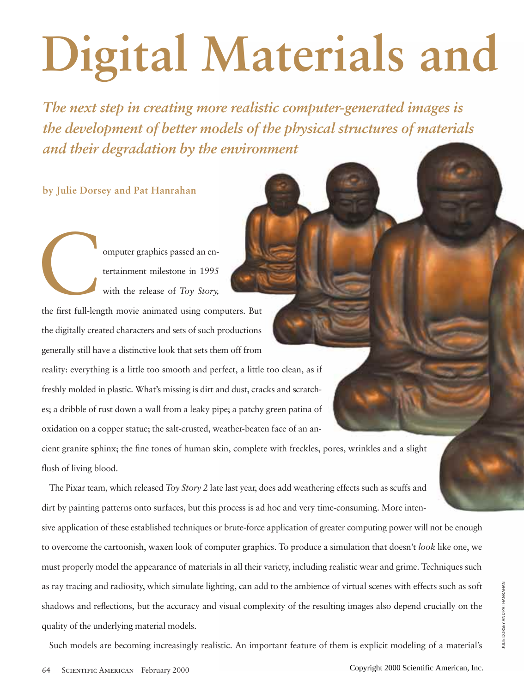# **Digital Materials and**

*The next step in creating more realistic computer-generated images is the development of better models of the physical structures of materials and their degradation by the environment*

**by Julie Dorsey and Pat Hanrahan**

Computer graphics passed an entertainment milestone in 1995<br>with the release of *Toy Story*,<br>the first full-length movie animated using computers. But tertainment milestone in 1995 with the release of *Toy Story,*

the digitally created characters and sets of such productions generally still have a distinctive look that sets them off from

reality: everything is a little too smooth and perfect, a little too clean, as if freshly molded in plastic. What's missing is dirt and dust, cracks and scratches; a dribble of rust down a wall from a leaky pipe; a patchy green patina of oxidation on a copper statue; the salt-crusted, weather-beaten face of an an-

cient granite sphinx; the fine tones of human skin, complete with freckles, pores, wrinkles and a slight flush of living blood.

The Pixar team, which released *Toy Story 2* late last year, does add weathering effects such as scuffs and dirt by painting patterns onto surfaces, but this process is ad hoc and very time-consuming. More intensive application of these established techniques or brute-force application of greater computing power will not be enough to overcome the cartoonish, waxen look of computer graphics. To produce a simulation that doesn't *look* like one, we must properly model the appearance of materials in all their variety, including realistic wear and grime. Techniques such as ray tracing and radiosity, which simulate lighting, can add to the ambience of virtual scenes with effects such as soft shadows and reflections, but the accuracy and visual complexity of the resulting images also depend crucially on the quality of the underlying material models.

Such models are becoming increasingly realistic. An important feature of them is explicit modeling of a material's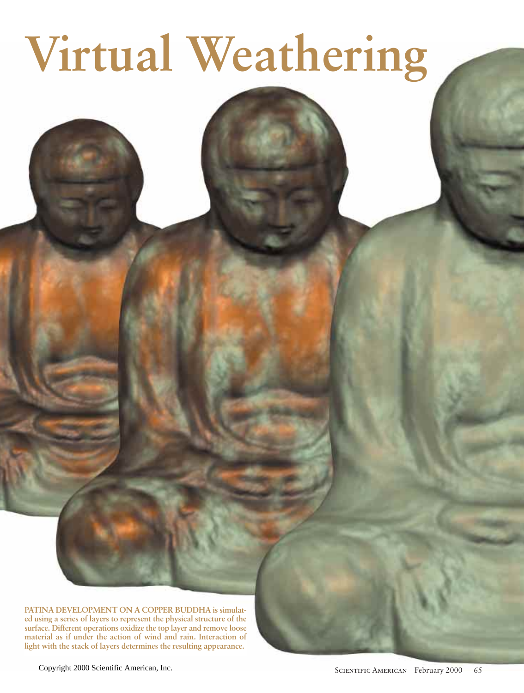## **Virtual Weathering**

**PATINA DEVELOPMENT ON A COPPER BUDDHA is simulated using a series of layers to represent the physical structure of the surface. Different operations oxidize the top layer and remove loose material as if under the action of wind and rain. Interaction of light with the stack of layers determines the resulting appearance.**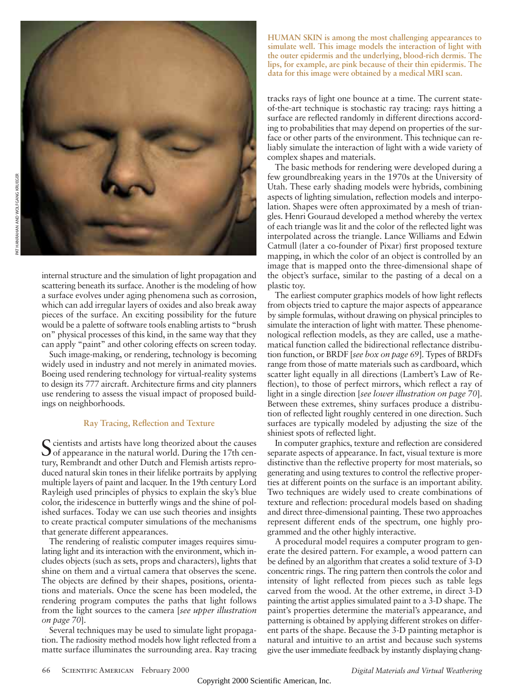

internal structure and the simulation of light propagation and scattering beneath its surface. Another is the modeling of how a surface evolves under aging phenomena such as corrosion, which can add irregular layers of oxides and also break away pieces of the surface. An exciting possibility for the future would be a palette of software tools enabling artists to "brush on" physical processes of this kind, in the same way that they can apply "paint" and other coloring effects on screen today.

Such image-making, or rendering, technology is becoming widely used in industry and not merely in animated movies. Boeing used rendering technology for virtual-reality systems to design its 777 aircraft. Architecture firms and city planners use rendering to assess the visual impact of proposed buildings on neighborhoods.

#### **Ray Tracing, Reflection and Texture**

Scientists and artists have long theorized about the causes<br>of appearance in the natural world. During the 17th century, Rembrandt and other Dutch and Flemish artists reproduced natural skin tones in their lifelike portraits by applying multiple layers of paint and lacquer. In the 19th century Lord Rayleigh used principles of physics to explain the sky's blue color, the iridescence in butterfly wings and the shine of polished surfaces. Today we can use such theories and insights to create practical computer simulations of the mechanisms that generate different appearances.

The rendering of realistic computer images requires simulating light and its interaction with the environment, which includes objects (such as sets, props and characters), lights that shine on them and a virtual camera that observes the scene. The objects are defined by their shapes, positions, orientations and materials. Once the scene has been modeled, the rendering program computes the paths that light follows from the light sources to the camera [*see upper illustration on page 70*].

Several techniques may be used to simulate light propagation. The radiosity method models how light reflected from a matte surface illuminates the surrounding area. Ray tracing **HUMAN SKIN is among the most challenging appearances to simulate well. This image models the interaction of light with the outer epidermis and the underlying, blood-rich dermis. The lips, for example, are pink because of their thin epidermis. The data for this image were obtained by a medical MRI scan.**

tracks rays of light one bounce at a time. The current stateof-the-art technique is stochastic ray tracing: rays hitting a surface are reflected randomly in different directions according to probabilities that may depend on properties of the surface or other parts of the environment. This technique can reliably simulate the interaction of light with a wide variety of complex shapes and materials.

The basic methods for rendering were developed during a few groundbreaking years in the 1970s at the University of Utah. These early shading models were hybrids, combining aspects of lighting simulation, reflection models and interpolation. Shapes were often approximated by a mesh of triangles. Henri Gouraud developed a method whereby the vertex of each triangle was lit and the color of the reflected light was interpolated across the triangle. Lance Williams and Edwin Catmull (later a co-founder of Pixar) first proposed texture mapping, in which the color of an object is controlled by an image that is mapped onto the three-dimensional shape of the object's surface, similar to the pasting of a decal on a plastic toy.

The earliest computer graphics models of how light reflects from objects tried to capture the major aspects of appearance by simple formulas, without drawing on physical principles to simulate the interaction of light with matter. These phenomenological reflection models, as they are called, use a mathematical function called the bidirectional reflectance distribution function, or BRDF [*see box on page 69*]. Types of BRDFs range from those of matte materials such as cardboard, which scatter light equally in all directions (Lambert's Law of Reflection), to those of perfect mirrors, which reflect a ray of light in a single direction [*see lower illustration on page 70*]. Between these extremes, shiny surfaces produce a distribution of reflected light roughly centered in one direction. Such surfaces are typically modeled by adjusting the size of the shiniest spots of reflected light.

In computer graphics, texture and reflection are considered separate aspects of appearance. In fact, visual texture is more distinctive than the reflective property for most materials, so generating and using textures to control the reflective properties at different points on the surface is an important ability. Two techniques are widely used to create combinations of texture and reflection: procedural models based on shading and direct three-dimensional painting. These two approaches represent different ends of the spectrum, one highly programmed and the other highly interactive.

A procedural model requires a computer program to generate the desired pattern. For example, a wood pattern can be defined by an algorithm that creates a solid texture of 3-D concentric rings. The ring pattern then controls the color and intensity of light reflected from pieces such as table legs carved from the wood. At the other extreme, in direct 3-D painting the artist applies simulated paint to a 3-D shape. The paint's properties determine the material's appearance, and patterning is obtained by applying different strokes on different parts of the shape. Because the 3-D painting metaphor is natural and intuitive to an artist and because such systems give the user immediate feedback by instantly displaying chang-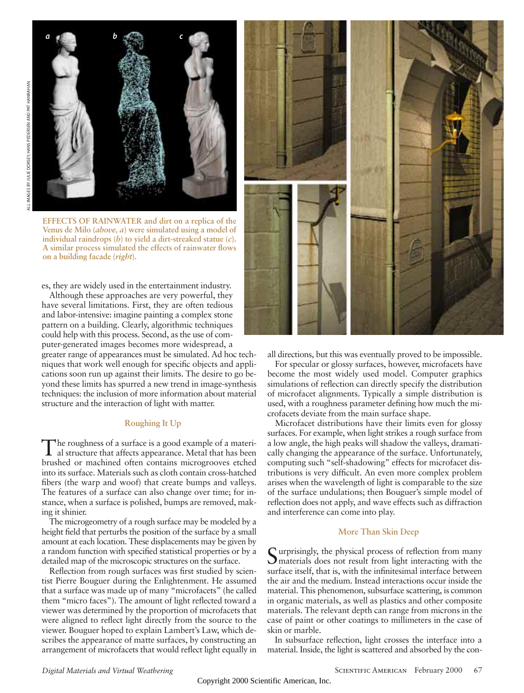



**EFFECTS OF RAINWATER and dirt on a replica of the Venus de Milo (***above, a***) were simulated using a model of individual raindrops (***b***) to yield a dirt-streaked statue (***c***). A similar process simulated the effects of rainwater flows on a building facade (***right***).**

es, they are widely used in the entertainment industry.

Although these approaches are very powerful, they have several limitations. First, they are often tedious and labor-intensive: imagine painting a complex stone pattern on a building. Clearly, algorithmic techniques could help with this process. Second, as the use of computer-generated images becomes more widespread, a

greater range of appearances must be simulated. Ad hoc techniques that work well enough for specific objects and applications soon run up against their limits. The desire to go beyond these limits has spurred a new trend in image-synthesis techniques: the inclusion of more information about material structure and the interaction of light with matter.

#### **Roughing It Up**

The roughness of a surface is a good example of a material structure that affects appearance. Metal that has been brushed or machined often contains microgrooves etched into its surface. Materials such as cloth contain cross-hatched fibers (the warp and woof) that create bumps and valleys. The features of a surface can also change over time; for instance, when a surface is polished, bumps are removed, making it shinier.

The microgeometry of a rough surface may be modeled by a height field that perturbs the position of the surface by a small amount at each location. These displacements may be given by a random function with specified statistical properties or by a detailed map of the microscopic structures on the surface.

Reflection from rough surfaces was first studied by scientist Pierre Bouguer during the Enlightenment. He assumed that a surface was made up of many "microfacets" (he called them "micro faces"). The amount of light reflected toward a viewer was determined by the proportion of microfacets that were aligned to reflect light directly from the source to the viewer. Bouguer hoped to explain Lambert's Law, which describes the appearance of matte surfaces, by constructing an arrangement of microfacets that would reflect light equally in



all directions, but this was eventually proved to be impossible.

For specular or glossy surfaces, however, microfacets have become the most widely used model. Computer graphics simulations of reflection can directly specify the distribution of microfacet alignments. Typically a simple distribution is used, with a roughness parameter defining how much the microfacets deviate from the main surface shape.

Microfacet distributions have their limits even for glossy surfaces. For example, when light strikes a rough surface from a low angle, the high peaks will shadow the valleys, dramatically changing the appearance of the surface. Unfortunately, computing such "self-shadowing" effects for microfacet distributions is very difficult. An even more complex problem arises when the wavelength of light is comparable to the size of the surface undulations; then Bouguer's simple model of reflection does not apply, and wave effects such as diffraction and interference can come into play.

#### **More Than Skin Deep**

 $\mathbb C$  urprisingly, the physical process of reflection from many  $\sum$  materials does not result from light interacting with the surface itself, that is, with the infinitesimal interface between the air and the medium. Instead interactions occur inside the material. This phenomenon, subsurface scattering, is common in organic materials, as well as plastics and other composite materials. The relevant depth can range from microns in the case of paint or other coatings to millimeters in the case of skin or marble.

In subsurface reflection, light crosses the interface into a material. Inside, the light is scattered and absorbed by the con-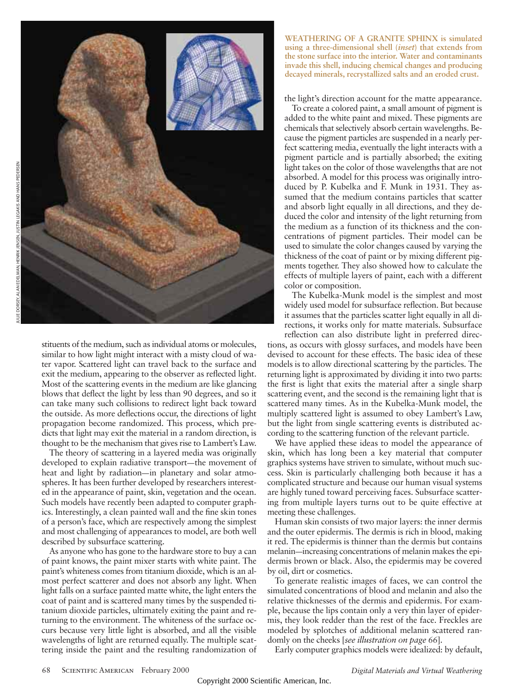

stituents of the medium, such as individual atoms or molecules, similar to how light might interact with a misty cloud of water vapor. Scattered light can travel back to the surface and exit the medium, appearing to the observer as reflected light. Most of the scattering events in the medium are like glancing blows that deflect the light by less than 90 degrees, and so it can take many such collisions to redirect light back toward the outside. As more deflections occur, the directions of light propagation become randomized. This process, which predicts that light may exit the material in a random direction, is thought to be the mechanism that gives rise to Lambert's Law.

The theory of scattering in a layered media was originally developed to explain radiative transport—the movement of heat and light by radiation—in planetary and solar atmospheres. It has been further developed by researchers interested in the appearance of paint, skin, vegetation and the ocean. Such models have recently been adapted to computer graphics. Interestingly, a clean painted wall and the fine skin tones of a person's face, which are respectively among the simplest and most challenging of appearances to model, are both well described by subsurface scattering.

As anyone who has gone to the hardware store to buy a can of paint knows, the paint mixer starts with white paint. The paint's whiteness comes from titanium dioxide, which is an almost perfect scatterer and does not absorb any light. When light falls on a surface painted matte white, the light enters the coat of paint and is scattered many times by the suspended titanium dioxide particles, ultimately exiting the paint and returning to the environment. The whiteness of the surface occurs because very little light is absorbed, and all the visible wavelengths of light are returned equally. The multiple scattering inside the paint and the resulting randomization of **WEATHERING OF A GRANITE SPHINX is simulated using a three-dimensional shell (***inset***) that extends from the stone surface into the interior. Water and contaminants invade this shell, inducing chemical changes and producing decayed minerals, recrystallized salts and an eroded crust.**

the light's direction account for the matte appearance.

To create a colored paint, a small amount of pigment is added to the white paint and mixed. These pigments are chemicals that selectively absorb certain wavelengths. Because the pigment particles are suspended in a nearly perfect scattering media, eventually the light interacts with a pigment particle and is partially absorbed; the exiting light takes on the color of those wavelengths that are not absorbed. A model for this process was originally introduced by P. Kubelka and F. Munk in 1931. They assumed that the medium contains particles that scatter and absorb light equally in all directions, and they deduced the color and intensity of the light returning from the medium as a function of its thickness and the concentrations of pigment particles. Their model can be used to simulate the color changes caused by varying the thickness of the coat of paint or by mixing different pigments together. They also showed how to calculate the effects of multiple layers of paint, each with a different color or composition.

The Kubelka-Munk model is the simplest and most widely used model for subsurface reflection. But because it assumes that the particles scatter light equally in all directions, it works only for matte materials. Subsurface

reflection can also distribute light in preferred directions, as occurs with glossy surfaces, and models have been devised to account for these effects. The basic idea of these models is to allow directional scattering by the particles. The returning light is approximated by dividing it into two parts: the first is light that exits the material after a single sharp scattering event, and the second is the remaining light that is scattered many times. As in the Kubelka-Munk model, the multiply scattered light is assumed to obey Lambert's Law, but the light from single scattering events is distributed according to the scattering function of the relevant particle.

We have applied these ideas to model the appearance of skin, which has long been a key material that computer graphics systems have striven to simulate, without much success. Skin is particularly challenging both because it has a complicated structure and because our human visual systems are highly tuned toward perceiving faces. Subsurface scattering from multiple layers turns out to be quite effective at meeting these challenges.

Human skin consists of two major layers: the inner dermis and the outer epidermis. The dermis is rich in blood, making it red. The epidermis is thinner than the dermis but contains melanin—increasing concentrations of melanin makes the epidermis brown or black. Also, the epidermis may be covered by oil, dirt or cosmetics.

To generate realistic images of faces, we can control the simulated concentrations of blood and melanin and also the relative thicknesses of the dermis and epidermis. For example, because the lips contain only a very thin layer of epidermis, they look redder than the rest of the face. Freckles are modeled by splotches of additional melanin scattered randomly on the cheeks [*see illustration on page 66*].

Early computer graphics models were idealized: by default,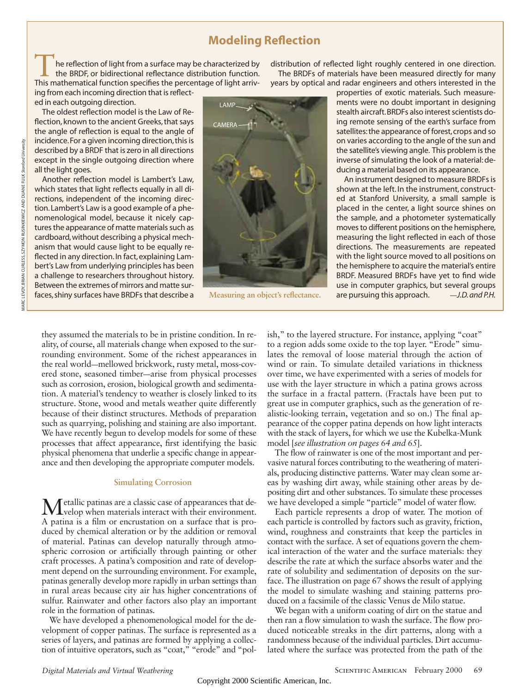## **Modeling Reflection**

he reflection of light from a surface may be characterized by the BRDF, or bidirectional reflectance distribution function. This mathematical function specifies the percentage of light arriv-

ing from each incoming direction that is reflected in each outgoing direction.

The oldest reflection model is the Law of Reflection, known to the ancient Greeks, that says the angle of reflection is equal to the angle of incidence.For a given incoming direction,this is described by a BRDF that is zero in all directions except in the single outgoing direction where all the light goes.

Another reflection model is Lambert's Law, which states that light reflects equally in all directions, independent of the incoming direction.Lambert's Law is a good example of a phenomenological model, because it nicely captures the appearance of matte materials such as cardboard,without describing a physical mechanism that would cause light to be equally reflected in any direction. In fact, explaining Lambert's Law from underlying principles has been a challenge to researchers throughout history. Between the extremes of mirrors and matte surfaces, shiny surfaces have BRDFs that describe a

distribution of reflected light roughly centered in one direction. The BRDFs of materials have been measured directly for many years by optical and radar engineers and others interested in the

> properties of exotic materials. Such measurements were no doubt important in designing stealth aircraft.BRDFs also interest scientists doing remote sensing of the earth's surface from satellites: the appearance of forest, crops and so on varies according to the angle of the sun and the satellite's viewing angle. This problem is the inverse of simulating the look of a material:deducing a material based on its appearance.

> An instrument designed to measure BRDFs is shown at the left. In the instrument, constructed at Stanford University, a small sample is placed in the center, a light source shines on the sample, and a photometer systematically moves to different positions on the hemisphere, measuring the light reflected in each of those directions. The measurements are repeated with the light source moved to all positions on the hemisphere to acquire the material's entire BRDF. Measured BRDFs have yet to find wide use in computer graphics, but several groups are pursuing this approach. —*J.D.and P.H.*

they assumed the materials to be in pristine condition. In reality, of course, all materials change when exposed to the surrounding environment. Some of the richest appearances in the real world—mellowed brickwork, rusty metal, moss-covered stone, seasoned timber—arise from physical processes such as corrosion, erosion, biological growth and sedimentation. A material's tendency to weather is closely linked to its structure. Stone, wood and metals weather quite differently because of their distinct structures. Methods of preparation such as quarrying, polishing and staining are also important. We have recently begun to develop models for some of these processes that affect appearance, first identifying the basic physical phenomena that underlie a specific change in appearance and then developing the appropriate computer models.

#### **Simulating Corrosion**

Metallic patinas are a classic case of appearances that de-velop when materials interact with their environment. A patina is a film or encrustation on a surface that is produced by chemical alteration or by the addition or removal of material. Patinas can develop naturally through atmospheric corrosion or artificially through painting or other craft processes. A patina's composition and rate of development depend on the surrounding environment. For example, patinas generally develop more rapidly in urban settings than in rural areas because city air has higher concentrations of sulfur. Rainwater and other factors also play an important role in the formation of patinas.

We have developed a phenomenological model for the development of copper patinas. The surface is represented as a series of layers, and patinas are formed by applying a collection of intuitive operators, such as "coat," "erode" and "polish," to the layered structure. For instance, applying "coat" to a region adds some oxide to the top layer. "Erode" simulates the removal of loose material through the action of wind or rain. To simulate detailed variations in thickness over time, we have experimented with a series of models for use with the layer structure in which a patina grows across the surface in a fractal pattern. (Fractals have been put to great use in computer graphics, such as the generation of realistic-looking terrain, vegetation and so on.) The final appearance of the copper patina depends on how light interacts with the stack of layers, for which we use the Kubelka-Munk model [*see illustration on pages 64 and 65*].

The flow of rainwater is one of the most important and pervasive natural forces contributing to the weathering of materials, producing distinctive patterns. Water may clean some areas by washing dirt away, while staining other areas by depositing dirt and other substances. To simulate these processes we have developed a simple "particle" model of water flow.

Each particle represents a drop of water. The motion of each particle is controlled by factors such as gravity, friction, wind, roughness and constraints that keep the particles in contact with the surface. A set of equations govern the chemical interaction of the water and the surface materials: they describe the rate at which the surface absorbs water and the rate of solubility and sedimentation of deposits on the surface. The illustration on page 67 shows the result of applying the model to simulate washing and staining patterns produced on a facsimile of the classic Venus de Milo statue.

We began with a uniform coating of dirt on the statue and then ran a flow simulation to wash the surface. The flow produced noticeable streaks in the dirt patterns, along with a randomness because of the individual particles. Dirt accumulated where the surface was protected from the path of the

**Measuring an object's reflectance.**

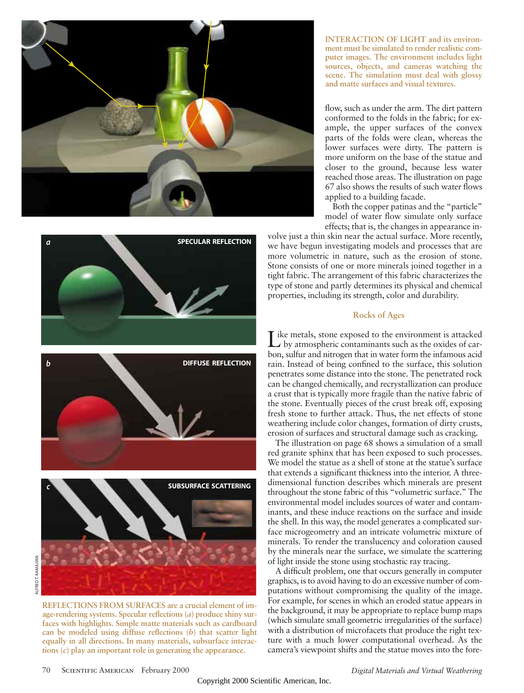







**REFLECTIONS FROM SURFACES are a crucial element of image-rendering systems. Specular reflections (***a***) produce shiny surfaces with highlights. Simple matte materials such as cardboard can be modeled using diffuse reflections (***b***) that scatter light equally in all directions. In many materials, subsurface interactions (***c***) play an important role in generating the appearance.**

**INTERACTION OF LIGHT and its environment must be simulated to render realistic computer images. The environment includes light sources, objects, and cameras watching the scene. The simulation must deal with glossy and matte surfaces and visual textures.**

flow, such as under the arm. The dirt pattern conformed to the folds in the fabric; for example, the upper surfaces of the convex parts of the folds were clean, whereas the lower surfaces were dirty. The pattern is more uniform on the base of the statue and closer to the ground, because less water reached those areas. The illustration on page 67 also shows the results of such water flows applied to a building facade.

Both the copper patinas and the "particle" model of water flow simulate only surface effects; that is, the changes in appearance in-

volve just a thin skin near the actual surface. More recently, we have begun investigating models and processes that are more volumetric in nature, such as the erosion of stone. Stone consists of one or more minerals joined together in a tight fabric. The arrangement of this fabric characterizes the type of stone and partly determines its physical and chemical properties, including its strength, color and durability.

#### **Rocks of Ages**

Like metals, stone exposed to the environment is attacked<br>by atmospheric contaminants such as the oxides of carbon, sulfur and nitrogen that in water form the infamous acid rain. Instead of being confined to the surface, this solution penetrates some distance into the stone. The penetrated rock can be changed chemically, and recrystallization can produce a crust that is typically more fragile than the native fabric of the stone. Eventually pieces of the crust break off, exposing fresh stone to further attack. Thus, the net effects of stone weathering include color changes, formation of dirty crusts, erosion of surfaces and structural damage such as cracking.

The illustration on page 68 shows a simulation of a small red granite sphinx that has been exposed to such processes. We model the statue as a shell of stone at the statue's surface that extends a significant thickness into the interior. A threedimensional function describes which minerals are present throughout the stone fabric of this "volumetric surface." The environmental model includes sources of water and contaminants, and these induce reactions on the surface and inside the shell. In this way, the model generates a complicated surface microgeometry and an intricate volumetric mixture of minerals. To render the translucency and coloration caused by the minerals near the surface, we simulate the scattering of light inside the stone using stochastic ray tracing.

A difficult problem, one that occurs generally in computer graphics, is to avoid having to do an excessive number of computations without compromising the quality of the image. For example, for scenes in which an eroded statue appears in the background, it may be appropriate to replace bump maps (which simulate small geometric irregularities of the surface) with a distribution of microfacets that produce the right texture with a much lower computational overhead. As the camera's viewpoint shifts and the statue moves into the fore